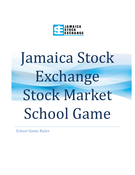

# Jamaica Stock Exchange Stock Market School Game

*School Game Rules*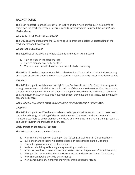## BACKGROUND

The JSE in its effort to provide creative, innovative and fun ways of introducing elements of trading on the stock market to all genres, in 2008, introduced and launched the Virtual Stock Market Game.

#### What is the Stock Market Game (SMG)?

The SMG is a simulation game the JSE developed to promote a better understanding of the stock market and how it works.

#### What are the Objectives?

The objectives of the SMG are to help students and teachers understand:

- 1. How to trade in the stock market
- 2. How to manage an equity portfolio
- 3. The costs and benefits involved in economic decision-making.

The SMG will also help to promote public understanding of the stock market and the economy and create awareness about the role of the stock market in a country's economic development.

#### Students:

The SMG for High Schools is aimed at High School Students in 4th to 6th form. It is designed to strengthen students' critical thinking skills, build confidence and self-esteem. Most importantly, the stock market game will instill an understanding of the need to save and invest at an early age and ensure that when students leave high school they have the basic knowledge of how to buy and sell shares.

The JSE also facilitates the Young Investor Game, for students at the Tertiary level.

#### Teachers:

The SMG for High School Teachers was developed to generate interest on how to create wealth through the buying and selling of shares on the market. The SMG has shown potential in motivating teachers to better plan for their future and to engage in financial planning, research, and use of investment products and services.

#### Likely Impact on Students & Teachers

The SMG allows students and teachers to:

- 1. Play a simulated game of trading on the JSE using virtual funds in the competition.
- 2. Build and manage their own portfolio based on stock traded on the Exchange.
- 3. Compete against other students/teachers.
- 4. Assist with building skills and gaining investing experience.
- 5. Access research resources and current market news to help make informed decisions.
- 6. View portfolio summaries, stock performance, order details and transaction history.
- 7. View charts showing portfolio performance.
- 8. View game summary highlights showing scores/positions for team.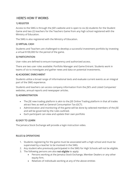# HERE'S HOW IT WORKS

#### 1) REGISTER

Access to the SMG is through the JSE's website and is open to six (6) students for the Student Game and two (2) teachers for the Teachers Game from any high school registered with the Ministry of Education.

The SMG is also registered with the Ministry of Education.

#### 2) VIRTUAL CASH

Students and Teachers are challenged to develop a successful investment portfolio by investing a virtual \$100,000 for the period of the game.

#### 3) PARTICIPATION

User roles are defined to ensure transparency and authorized access.

There are two user roles available: Portfolio Manager and Game Entrant. Students work in teams of six to investigate and gather news and data on potential investments.

#### 4) ACADEMIC ENRICHMENT

Students utilize a broad range of informational texts and evaluate current events as an integral part of the SMG experience.

Students and teachers can access company information from the JSE's and Listed Companies' websites, annual reports and newspaper articles.

#### 5) ADMINISTRATION

- The JSE new trading platform is akin to the JSE Online Trading platform in that all trades attract fees as well as General Consumption Tax (GCT).
- Administration and monitoring of the game will be done by selected members of the JSE and will be governed by the rules outlined.
- Each participant can view and update their own portfolio

#### 6) EASY TO LEARN

The Jamaica Stock Exchange will provide a login instruction video.

#### RULES & OPERATIONS

- 1. Students registering for the game must be associated with a high school and must be supervised by a teacher to be involved in the SMG.
- 2. Any student who previously participated in the SMG for High Schools will not be eligible.
- 3. The following persons are also not eligible to apply:
	- Persons working at the Jamaica Stock Exchange, Member Dealers or any other equity firm.
	- Relatives of individuals working at any of the above entities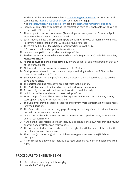- 4. Students will be required to complete a [students' registration form](https://www.jamstockex.com/wp-content/uploads/2021/11/STUDENT-Registration-Form-REVISED.pdf) and Teachers will complete the [teachers' registration form](https://www.jamstockex.com/wp-content/uploads/2021/11/TEACHERS-Registration-Form-REVISED.pdf) and thereafter email it to [charlette.nugent@jamstockex.com](mailto:charlette.nugent@jamstockex.com) copied to [jsemarketing@jamstockex.com.](mailto:jsemarketing@jamstockex.com)
- 5. Individuals can enter by completing the registration form as is applicable, which can be found on the JSE's website.
- 6. The competition will run for a seven (7) month period each year, i.e., October April, after which the winner will be determined.
- 7. Each student and teacher are given a portfolio with JA\$100,000 virtual money to invest in common stocks listed on the JSE's Main or Junior Market.
- 8. There will be JSE, JCSD fees charged for transactions as well as GCT
- 9. NO broker fee will be charged for transactions.
- 10. Interest is not paid on cash balance in the portfolio.
- 11. Trading can ONLY be done between the hours of 1:30 p.m. 12:00 mid-night each day, Monday to Friday.
- 12. All trades must be done on the same day (stocks bought or sold must trade on that day of the transactions).
- 13. All buy and sell orders must be a minimum of 100 shares.
- 14. Stock prices are based on real time market prices during the hours of 9:30 a. to the close of the market at 1:00 p.m.
- 15. Selection of stocks for the portfolio after the close of the market will be based on the day's closing price.
- 16. The portfolio trading represents 'true' activities in the market.
- 17. The Portfolio value will be based on the end of day/real time prices.
- 18. A record of your portfolio and transactions will be available daily.
- 19. Individuals will not be allowed to reset their portfolio.
- 20. Return on portfolio will be aligned with Corporate Actions such as dividends, bonus, stock split or any other corporate action.
- 21. The Game will provide research resource and current market information to help make informed decisions.
- 22. The Game will provide a summary page showing the ranking of each individual based on portfolio performance and value.
- 23. Individuals will be able to view portfolio summaries, stock performance, order details and transaction history.
- 24. It will be the responsibilities of each individual to conduct their own research and review analysis done by Brokers on their website.
- 25. The top three students and teachers with the highest portfolio values at the end of the period are declared the winners.
- 26. The school (students only) with the highest aggregate is crowned the JSE School Champion.
- 27. It is the responsibility of each individual to read, understand, learn and abide by all the rules.

# PROCEDURE TO ENTER THE SMG

- 1. Read all rules carefully and thoroughly.
- 2. Watch the Training Video.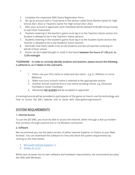- 3. Complete the respective SMG Game Registration Form.
- 4. Set up an account with a \*username in the section called Stock Market Game for High School 2021-2022 or Teachers Game For High School 2021-2022.
- 5. After your account is approved, each individual will be allotted \$100,000 virtual money to start their investment.
- 6. Teachers entering in the teacher's game must log in to the Teachers Game section (no Student is allowed to be in the Teachers' Game section).
- 7. Students entering in the student's game must log in to the Student Game section (No Teacher is allowed to be in the Students' Game section).
- 8. Reminder that there needs to be six (6) students and two (2) teachers entering on behalf of their school.
- 9. Stocks can be traded (bought or sold) in the Game between the hours of 1:00 p.m. to 12:00 midnight

#### \*USERNAME – In order to correctly identify students and teachers, please ensure the following is adhered to, as it relates to the username.

1.

- 1. Either use your first name or initial and last name e.g. (L. Williams or Lorna Williams)
- 2. Make sure your school's name is selected at the appropriate section
- 3. Another format could be first or last name including school. e.g. (Donovan Titchfield or Smith Titchfield)
- 4. Absolutely NO ALIASES will be accepted or approved

A training/tutorial will be provided to participants of the game on how to use the technology and how to access the JSE's website and to assist with data gathering/research.

## SYSTEM REQUIREMENTS

#### 1. Internet Access

To use the JSE SMG, you must be able to access the Internet, either through a dial-up modem that connects through a phone line or via Wireless connection.

#### 2. Software

We recommend you use the latest version of either Internet Explorer or Firefox as your Web browser. You can download the software for free and check the system requirements by clicking on the links below:

- 1. [Microsoft Internet Explorer 11](http://www.microsoft.com/windows/ie/downloads/default.asp)
- 2. [Firefox 41 or 41](http://www.mozilla.com/en-US/firefox/)

While each browser has its own software and hardware requirements, we recommend you play the SMG with Windows.